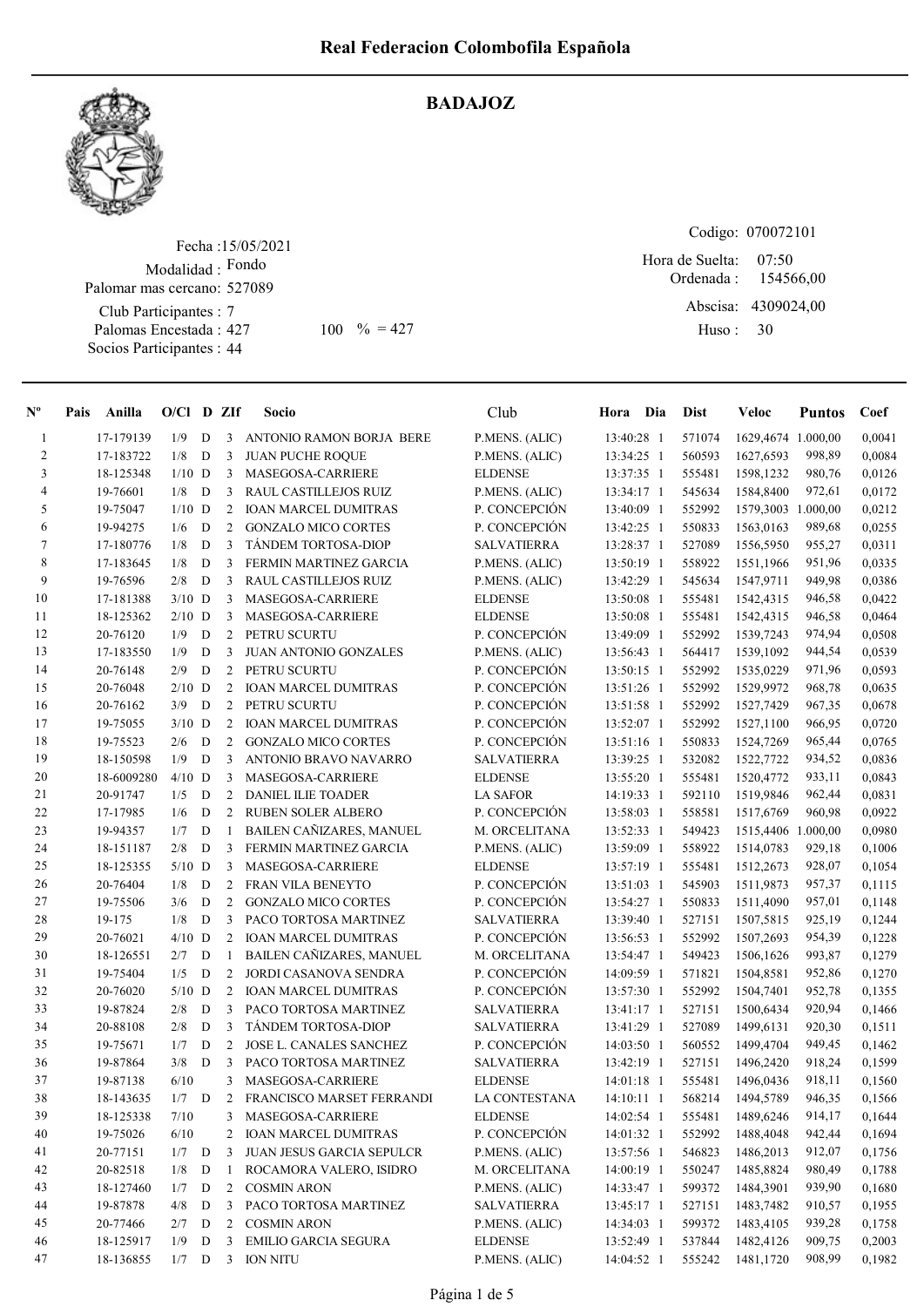BADAJOZ



## Fecha : 15/05/2021 Modalidad : Fondo Club Participantes : 7 Palomar mas cercano: 527089

Palomas Encestada : Socios Participantes : 44

## Codigo: 070072101

Ordenada : Abscisa: 4309024,00 Huso : 07:50 427 100 % = 427 Huso: 30 Hora de Suelta: 154566,00

| $N^{\circ}$              | Pais | Anilla     | $O/Cl$ D ZIf |             |                | Socio                       | Club               | Hora Dia     | <b>Dist</b> | <b>Veloc</b>       | <b>Puntos</b> | Coef   |
|--------------------------|------|------------|--------------|-------------|----------------|-----------------------------|--------------------|--------------|-------------|--------------------|---------------|--------|
| 1                        |      | 17-179139  | 1/9          | D           | 3              | ANTONIO RAMON BORJA BERE    | P.MENS. (ALIC)     | 13:40:28 1   | 571074      | 1629,4674 1.000,00 |               | 0,0041 |
| $\overline{c}$           |      | 17-183722  | 1/8          | ${\bf D}$   | 3              | <b>JUAN PUCHE ROQUE</b>     | P.MENS. (ALIC)     | 13:34:25 1   | 560593      | 1627,6593          | 998,89        | 0,0084 |
| 3                        |      | 18-125348  | $1/10$ D     |             | 3              | MASEGOSA-CARRIERE           | <b>ELDENSE</b>     | 13:37:35 1   | 555481      | 1598,1232          | 980,76        | 0,0126 |
| $\overline{\mathcal{L}}$ |      | 19-76601   | 1/8          | D           | 3              | RAUL CASTILLEJOS RUIZ       | P.MENS. (ALIC)     | 13:34:17 1   | 545634      | 1584,8400          | 972,61        | 0,0172 |
| 5                        |      | 19-75047   | $1/10$ D     |             | $\overline{2}$ | <b>IOAN MARCEL DUMITRAS</b> | P. CONCEPCIÓN      | 13:40:09 1   | 552992      | 1579,3003 1.000,00 |               | 0,0212 |
| 6                        |      | 19-94275   | 1/6          | D           | $\overline{2}$ | <b>GONZALO MICO CORTES</b>  | P. CONCEPCIÓN      | 13:42:25 1   | 550833      | 1563,0163          | 989,68        | 0,0255 |
| $\tau$                   |      | 17-180776  | 1/8          | D           | 3              | TÁNDEM TORTOSA-DIOP         | <b>SALVATIERRA</b> | 13:28:37 1   | 527089      | 1556,5950          | 955,27        | 0,0311 |
| $\,$ $\,$                |      | 17-183645  | 1/8          | D           | 3              | FERMIN MARTINEZ GARCIA      | P.MENS. (ALIC)     | 13:50:19 1   | 558922      | 1551,1966          | 951,96        | 0,0335 |
| 9                        |      | 19-76596   | 2/8          | D           | 3              | RAUL CASTILLEJOS RUIZ       | P.MENS. (ALIC)     | 13:42:29 1   | 545634      | 1547,9711          | 949,98        | 0,0386 |
| 10                       |      | 17-181388  | $3/10$ D     |             | 3              | MASEGOSA-CARRIERE           | <b>ELDENSE</b>     | 13:50:08 1   | 555481      | 1542,4315          | 946,58        | 0,0422 |
| 11                       |      | 18-125362  | $2/10$ D     |             | 3              | MASEGOSA-CARRIERE           | <b>ELDENSE</b>     | 13:50:08 1   | 555481      | 1542,4315          | 946,58        | 0,0464 |
| 12                       |      | 20-76120   | 1/9          | D           | 2              | PETRU SCURTU                | P. CONCEPCIÓN      | 13:49:09 1   | 552992      | 1539,7243          | 974,94        | 0,0508 |
| 13                       |      | 17-183550  | 1/9          | D           | 3              | JUAN ANTONIO GONZALES       | P.MENS. (ALIC)     | 13:56:43 1   | 564417      | 1539,1092          | 944,54        | 0,0539 |
| 14                       |      | 20-76148   | 2/9          | $\mathbf D$ | 2              | PETRU SCURTU                | P. CONCEPCIÓN      | 13:50:15 1   | 552992      | 1535,0229          | 971,96        | 0,0593 |
| 15                       |      | 20-76048   | $2/10$ D     |             |                | 2 IOAN MARCEL DUMITRAS      | P. CONCEPCIÓN      | 13:51:26 1   | 552992      | 1529,9972          | 968,78        | 0,0635 |
| 16                       |      | 20-76162   | 3/9          | D           | $\overline{2}$ | PETRU SCURTU                | P. CONCEPCIÓN      | 13:51:58 1   | 552992      | 1527,7429          | 967,35        | 0,0678 |
| 17                       |      | 19-75055   | $3/10$ D     |             | 2              | <b>IOAN MARCEL DUMITRAS</b> | P. CONCEPCIÓN      | 13:52:07 1   | 552992      | 1527,1100          | 966,95        | 0,0720 |
| 18                       |      | 19-75523   | 2/6          | D           | 2              | <b>GONZALO MICO CORTES</b>  | P. CONCEPCIÓN      | 13:51:16 1   | 550833      | 1524,7269          | 965,44        | 0,0765 |
| 19                       |      | 18-150598  | 1/9          | D           | 3              | ANTONIO BRAVO NAVARRO       | <b>SALVATIERRA</b> | 13:39:25 1   | 532082      | 1522,7722          | 934,52        | 0,0836 |
| 20                       |      | 18-6009280 | $4/10$ D     |             | 3              | MASEGOSA-CARRIERE           | <b>ELDENSE</b>     | 13:55:20 1   | 555481      | 1520,4772          | 933,11        | 0,0843 |
| 21                       |      | 20-91747   | 1/5          | D           | 2              | <b>DANIEL ILIE TOADER</b>   | <b>LA SAFOR</b>    | 14:19:33 1   | 592110      | 1519,9846          | 962,44        | 0,0831 |
| 22                       |      | 17-17985   | 1/6          | D           | 2              | <b>RUBEN SOLER ALBERO</b>   | P. CONCEPCIÓN      | 13:58:03 1   | 558581      | 1517,6769          | 960,98        | 0,0922 |
| 23                       |      | 19-94357   | 1/7          | D           | -1             | BAILEN CAÑIZARES, MANUEL    | M. ORCELITANA      | 13:52:33 1   | 549423      | 1515,4406 1.000,00 |               | 0,0980 |
| 24                       |      | 18-151187  | 2/8          | D           | 3              | FERMIN MARTINEZ GARCIA      | P.MENS. (ALIC)     | 13:59:09 1   | 558922      | 1514,0783          | 929,18        | 0,1006 |
| 25                       |      | 18-125355  | $5/10$ D     |             | 3              | MASEGOSA-CARRIERE           | <b>ELDENSE</b>     | 13:57:19 1   | 555481      | 1512,2673          | 928,07        | 0,1054 |
| 26                       |      | 20-76404   | 1/8          | D           | 2              | <b>FRAN VILA BENEYTO</b>    | P. CONCEPCIÓN      | 13:51:03 1   | 545903      | 1511,9873          | 957,37        | 0,1115 |
| 27                       |      | 19-75506   | 3/6          | $\mathbf D$ | $\overline{2}$ | <b>GONZALO MICO CORTES</b>  | P. CONCEPCIÓN      | 13:54:27 1   | 550833      | 1511,4090          | 957,01        | 0,1148 |
| 28                       |      | 19-175     | 1/8          | D           | 3              | PACO TORTOSA MARTINEZ       | <b>SALVATIERRA</b> | 13:39:40 1   | 527151      | 1507,5815          | 925,19        | 0,1244 |
| 29                       |      | 20-76021   | $4/10$ D     |             | 2              | <b>IOAN MARCEL DUMITRAS</b> | P. CONCEPCIÓN      | 13:56:53 1   | 552992      | 1507,2693          | 954,39        | 0,1228 |
| 30                       |      | 18-126551  | 2/7          | D           | 1              | BAILEN CAÑIZARES, MANUEL    | M. ORCELITANA      | 13:54:47 1   | 549423      | 1506,1626          | 993,87        | 0,1279 |
| 31                       |      | 19-75404   | 1/5          | D           | 2              | JORDI CASANOVA SENDRA       | P. CONCEPCIÓN      | 14:09:59 1   | 571821      | 1504,8581          | 952,86        | 0,1270 |
| 32                       |      | 20-76020   | $5/10$ D     |             | 2              | <b>IOAN MARCEL DUMITRAS</b> | P. CONCEPCIÓN      | 13:57:30 1   | 552992      | 1504,7401          | 952,78        | 0,1355 |
| 33                       |      | 19-87824   | 2/8          | D           | 3              | PACO TORTOSA MARTINEZ       | <b>SALVATIERRA</b> | 13:41:17 1   | 527151      | 1500,6434          | 920,94        | 0,1466 |
| 34                       |      | 20-88108   | 2/8          | D           | 3              | TÁNDEM TORTOSA-DIOP         | <b>SALVATIERRA</b> | 13:41:29 1   | 527089      | 1499.6131          | 920,30        | 0,1511 |
| 35                       |      | 19-75671   | 1/7          | D           | 2              | JOSE L. CANALES SANCHEZ     | P. CONCEPCIÓN      | $14:03:50$ 1 | 560552      | 1499,4704          | 949,45        | 0,1462 |
| 36                       |      | 19-87864   | 3/8          | D           | 3              | PACO TORTOSA MARTINEZ       | <b>SALVATIERRA</b> | 13:42:19 1   | 527151      | 1496,2420          | 918,24        | 0,1599 |
| 37                       |      | 19-87138   | 6/10         |             | 3              | MASEGOSA-CARRIERE           | <b>ELDENSE</b>     | 14:01:18 1   | 555481      | 1496,0436          | 918,11        | 0,1560 |
| 38                       |      | 18-143635  | 1/7          | D           | 2              | FRANCISCO MARSET FERRANDI   | LA CONTESTANA      | 14:10:11 1   | 568214      | 1494,5789          | 946,35        | 0,1566 |
| 39                       |      | 18-125338  | 7/10         |             | 3              | MASEGOSA-CARRIERE           | <b>ELDENSE</b>     | 14:02:54 1   | 555481      | 1489,6246          | 914,17        | 0,1644 |
| 40                       |      | 19-75026   | 6/10         |             | 2              | <b>IOAN MARCEL DUMITRAS</b> | P. CONCEPCIÓN      | 14:01:32 1   | 552992      | 1488,4048          | 942,44        | 0,1694 |
| 41                       |      | 20-77151   | $1/7$ D      |             | 3              | JUAN JESUS GARCIA SEPULCR   | P.MENS. (ALIC)     | 13:57:56 1   | 546823      | 1486,2013          | 912,07        | 0,1756 |
| 42                       |      | 20-82518   | 1/8          | D           | 1              | ROCAMORA VALERO, ISIDRO     | M. ORCELITANA      | 14:00:19 1   | 550247      | 1485,8824          | 980,49        | 0,1788 |
| 43                       |      | 18-127460  | 1/7          | D           | 2              | COSMIN ARON                 | P.MENS. (ALIC)     | 14:33:47 1   | 599372      | 1484,3901          | 939,90        | 0,1680 |
| 44                       |      | 19-87878   | 4/8          | D           | 3              | PACO TORTOSA MARTINEZ       | <b>SALVATIERRA</b> | 13:45:17 1   | 527151      | 1483,7482          | 910,57        | 0,1955 |
| 45                       |      | 20-77466   | 2/7          | D           | 2              | <b>COSMIN ARON</b>          | P.MENS. (ALIC)     | 14:34:03 1   | 599372      | 1483,4105          | 939,28        | 0,1758 |
| 46                       |      | 18-125917  | 1/9          | D           | 3              | <b>EMILIO GARCIA SEGURA</b> | <b>ELDENSE</b>     | 13:52:49 1   | 537844      | 1482,4126          | 909,75        | 0,2003 |
| 47                       |      | 18-136855  | $1/7$ D      |             | $\overline{3}$ | <b>ION NITU</b>             | P.MENS. (ALIC)     | 14:04:52 1   | 555242      | 1481,1720          | 908,99        | 0,1982 |
|                          |      |            |              |             |                |                             |                    |              |             |                    |               |        |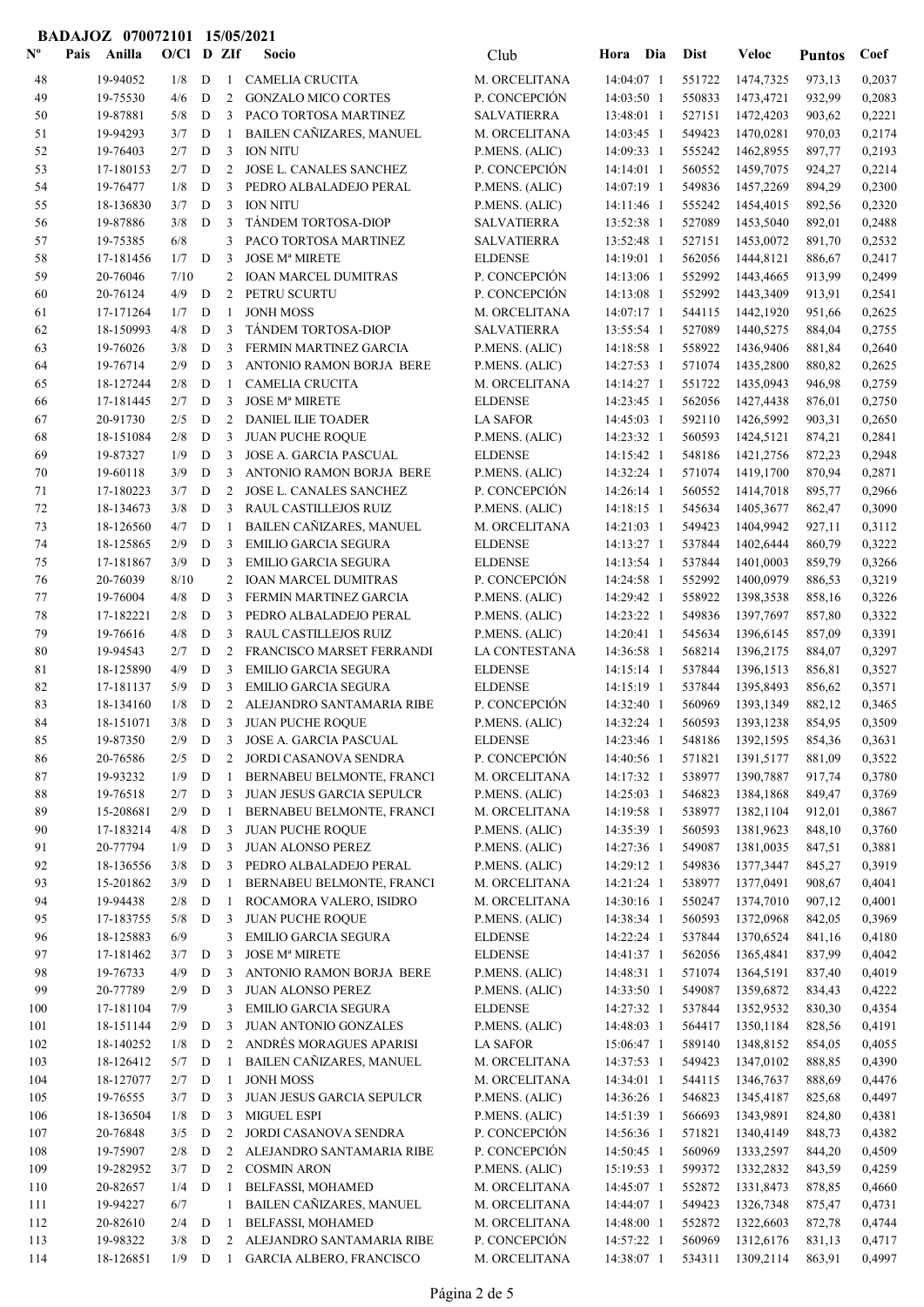|             | BADAJOZ 070072101 15/05/2021 |                       |              |                  |                |                                                          |                                      |                                           |                  |                        |                  |                  |
|-------------|------------------------------|-----------------------|--------------|------------------|----------------|----------------------------------------------------------|--------------------------------------|-------------------------------------------|------------------|------------------------|------------------|------------------|
| $N^{\circ}$ | Pais                         | Anilla                | $O/C1$ D ZIf |                  |                | <b>Socio</b>                                             | Club                                 | Hora Dia                                  | <b>Dist</b>      | <b>Veloc</b>           | <b>Puntos</b>    | Coef             |
| 48          |                              | 19-94052              | 1/8          | D                | $\mathbf{1}$   | <b>CAMELIA CRUCITA</b>                                   | M. ORCELITANA                        | 14:04:07 1                                | 551722           | 1474,7325              | 973,13           | 0,2037           |
| 49          |                              | 19-75530              | 4/6          | D                | 2              | <b>GONZALO MICO CORTES</b>                               | P. CONCEPCIÓN                        | 14:03:50 1                                | 550833           | 1473,4721              | 932,99           | 0,2083           |
| 50          |                              | 19-87881              | 5/8          | D                | 3              | PACO TORTOSA MARTINEZ                                    | <b>SALVATIERRA</b>                   | 13:48:01 1                                | 527151           | 1472,4203              | 903,62           | 0,2221           |
| 51          |                              | 19-94293              | 3/7          | D                | 1              | BAILEN CAÑIZARES, MANUEL                                 | M. ORCELITANA                        | 14:03:45 1                                | 549423           | 1470,0281              | 970,03           | 0,2174           |
| 52          |                              | 19-76403              | 2/7          | D                | 3              | <b>ION NITU</b>                                          | P.MENS. (ALIC)                       | 14:09:33 1                                | 555242           | 1462,8955              | 897,77           | 0,2193           |
| 53          |                              | 17-180153             | 2/7          | D                | $\overline{c}$ | JOSE L. CANALES SANCHEZ                                  | P. CONCEPCIÓN                        | 14:14:01 1                                | 560552           | 1459,7075              | 924,27           | 0,2214           |
| 54          |                              | 19-76477              | 1/8          | D                | 3              | PEDRO ALBALADEJO PERAL                                   | P.MENS. (ALIC)                       | 14:07:19 1                                | 549836           | 1457,2269              | 894,29           | 0,2300           |
| 55<br>56    |                              | 18-136830<br>19-87886 | 3/7<br>3/8   | D<br>D           | 3<br>3         | <b>ION NITU</b><br>TÁNDEM TORTOSA-DIOP                   | P.MENS. (ALIC)<br><b>SALVATIERRA</b> | 14:11:46 1<br>13:52:38 1                  | 555242<br>527089 | 1454,4015<br>1453,5040 | 892,56<br>892,01 | 0,2320<br>0,2488 |
| 57          |                              | 19-75385              | 6/8          |                  | 3              | PACO TORTOSA MARTINEZ                                    | <b>SALVATIERRA</b>                   | 13:52:48 1                                | 527151           | 1453,0072              | 891,70           | 0,2532           |
| 58          |                              | 17-181456             | 1/7          | D                | 3              | <b>JOSE Mª MIRETE</b>                                    | <b>ELDENSE</b>                       | 14:19:01 1                                | 562056           | 1444,8121              | 886,67           | 0,2417           |
| 59          |                              | 20-76046              | 7/10         |                  | 2              | <b>IOAN MARCEL DUMITRAS</b>                              | P. CONCEPCIÓN                        | 14:13:06 1                                | 552992           | 1443,4665              | 913,99           | 0,2499           |
| 60          |                              | 20-76124              | 4/9          | D                | $\overline{c}$ | PETRU SCURTU                                             | P. CONCEPCIÓN                        | $14:13:08$ 1                              | 552992           | 1443,3409              | 913,91           | 0,2541           |
| 61          |                              | 17-171264             | 1/7          | D                | 1              | <b>JONH MOSS</b>                                         | M. ORCELITANA                        | 14:07:17 1                                | 544115           | 1442,1920              | 951,66           | 0,2625           |
| 62          |                              | 18-150993             | 4/8          | D                | 3              | TÁNDEM TORTOSA-DIOP                                      | <b>SALVATIERRA</b>                   | 13:55:54 1                                | 527089           | 1440,5275              | 884,04           | 0,2755           |
| 63          |                              | 19-76026              | 3/8          | ${\bf D}$        | 3              | FERMIN MARTINEZ GARCIA                                   | P.MENS. (ALIC)                       | 14:18:58 1                                | 558922           | 1436,9406              | 881,84           | 0,2640           |
| 64          |                              | 19-76714              | 2/9          | D                | 3              | ANTONIO RAMON BORJA BERE                                 | P.MENS. (ALIC)                       | 14:27:53 1                                | 571074           | 1435,2800              | 880,82           | 0,2625           |
| 65          |                              | 18-127244             | 2/8          | D                | $\mathbf{1}$   | <b>CAMELIA CRUCITA</b>                                   | M. ORCELITANA                        | 14:14:27 1                                | 551722           | 1435,0943              | 946,98           | 0,2759           |
| 66          |                              | 17-181445             | 2/7          | D                | 3              | <b>JOSE Mª MIRETE</b>                                    | <b>ELDENSE</b>                       | 14:23:45 1                                | 562056           | 1427,4438              | 876,01           | 0,2750           |
| 67          |                              | 20-91730              | 2/5          | D                | 2              | DANIEL ILIE TOADER                                       | <b>LA SAFOR</b>                      | 14:45:03 1                                | 592110           | 1426,5992              | 903,31           | 0,2650           |
| 68          |                              | 18-151084             | 2/8          | D                | 3<br>3         | <b>JUAN PUCHE ROQUE</b><br><b>JOSE A. GARCIA PASCUAL</b> | P.MENS. (ALIC)                       | 14:23:32 1                                | 560593           | 1424,5121              | 874,21           | 0,2841           |
| 69<br>70    |                              | 19-87327<br>19-60118  | 1/9<br>3/9   | D<br>D           | 3              | ANTONIO RAMON BORJA BERE                                 | <b>ELDENSE</b><br>P.MENS. (ALIC)     | 14:15:42 1<br>14:32:24 1                  | 548186<br>571074 | 1421,2756<br>1419,1700 | 872,23<br>870,94 | 0,2948<br>0,2871 |
| 71          |                              | 17-180223             | 3/7          | D                | $\overline{c}$ | JOSE L. CANALES SANCHEZ                                  | P. CONCEPCIÓN                        | 14:26:14 1                                | 560552           | 1414,7018              | 895,77           | 0,2966           |
| 72          |                              | 18-134673             | 3/8          | D                | 3              | RAUL CASTILLEJOS RUIZ                                    | P.MENS. (ALIC)                       | $14:18:15$ 1                              | 545634           | 1405,3677              | 862,47           | 0,3090           |
| 73          |                              | 18-126560             | 4/7          | D                | 1              | <b>BAILEN CAÑIZARES, MANUEL</b>                          | M. ORCELITANA                        | 14:21:03 1                                | 549423           | 1404,9942              | 927,11           | 0,3112           |
| 74          |                              | 18-125865             | 2/9          | D                | 3              | <b>EMILIO GARCIA SEGURA</b>                              | <b>ELDENSE</b>                       | 14:13:27 1                                | 537844           | 1402,6444              | 860,79           | 0,3222           |
| 75          |                              | 17-181867             | 3/9          | D                | 3              | <b>EMILIO GARCIA SEGURA</b>                              | <b>ELDENSE</b>                       | 14:13:54 1                                | 537844           | 1401,0003              | 859,79           | 0,3266           |
| 76          |                              | 20-76039              | 8/10         |                  | 2              | <b>IOAN MARCEL DUMITRAS</b>                              | P. CONCEPCIÓN                        | 14:24:58 1                                | 552992           | 1400,0979              | 886,53           | 0,3219           |
| 77          |                              | 19-76004              | 4/8          | D                | 3              | FERMIN MARTINEZ GARCIA                                   | P.MENS. (ALIC)                       | 14:29:42 1                                | 558922           | 1398,3538              | 858,16           | 0,3226           |
| 78          |                              | 17-182221             | 2/8          | D                | 3              | PEDRO ALBALADEJO PERAL                                   | P.MENS. (ALIC)                       | 14:23:22 1                                | 549836           | 1397,7697              | 857,80           | 0,3322           |
| 79          |                              | 19-76616              | 4/8          | D                | 3              | RAUL CASTILLEJOS RUIZ                                    | P.MENS. (ALIC)                       | 14:20:41 1                                | 545634           | 1396,6145              | 857,09           | 0,3391           |
| 80          |                              | 19-94543              | 2/7          | D                | $\overline{c}$ | FRANCISCO MARSET FERRANDI                                | LA CONTESTANA                        | 14:36:58 1                                | 568214           | 1396,2175              | 884,07           | 0,3297           |
| 81          |                              | 18-125890             | 4/9          | D                | 3              | <b>EMILIO GARCIA SEGURA</b>                              | <b>ELDENSE</b>                       | 14:15:14 1                                | 537844           | 1396,1513              | 856,81           | 0,3527           |
| 82          |                              | 17-181137             | 5/9          | D                | 3              | <b>EMILIO GARCIA SEGURA</b>                              | <b>ELDENSE</b>                       | 14:15:19 1                                | 537844           | 1395,8493              | 856,62           | 0,3571           |
| 83          |                              | 18-134160             | 1/8          | D                |                | 2 ALEJANDRO SANTAMARIA RIBE<br>3/8 D 3 JUAN PUCHE ROQUE  | P. CONCEPCIÓN                        | 14:32:40 1<br>14:32:24 1 560593 1393,1238 | 560969           | 1393,1349              | 882,12           | 0,3465           |
| 84<br>85    |                              | 18-151071<br>19-87350 | 2/9          | D                | 3              | <b>JOSE A. GARCIA PASCUAL</b>                            | P.MENS. (ALIC)<br><b>ELDENSE</b>     | 14:23:46 1                                | 548186           | 1392,1595              | 854,95<br>854,36 | 0,3509<br>0,3631 |
| 86          |                              | 20-76586              | 2/5          | D                | $\overline{2}$ | JORDI CASANOVA SENDRA                                    | P. CONCEPCIÓN                        | 14:40:56 1                                | 571821           | 1391,5177              | 881,09           | 0,3522           |
| 87          |                              | 19-93232              | 1/9          | $\mathbf D$      | 1              | BERNABEU BELMONTE, FRANCI                                | M. ORCELITANA                        | 14:17:32 1                                | 538977           | 1390,7887              | 917,74           | 0,3780           |
| 88          |                              | 19-76518              | 2/7          | D                | 3              | JUAN JESUS GARCIA SEPULCR                                | P.MENS. (ALIC)                       | 14:25:03 1                                | 546823           | 1384,1868              | 849,47           | 0,3769           |
| 89          |                              | 15-208681             | 2/9          | D                | 1              | BERNABEU BELMONTE, FRANCI                                | M. ORCELITANA                        | 14:19:58 1                                | 538977           | 1382,1104              | 912,01           | 0,3867           |
| 90          |                              | 17-183214             | 4/8          | D                | 3              | <b>JUAN PUCHE ROQUE</b>                                  | P.MENS. (ALIC)                       | 14:35:39 1                                | 560593           | 1381,9623              | 848,10           | 0,3760           |
| 91          |                              | 20-77794              | 1/9          | D                | 3              | JUAN ALONSO PEREZ                                        | P.MENS. (ALIC)                       | 14:27:36 1                                | 549087           | 1381,0035              | 847,51           | 0,3881           |
| 92          |                              | 18-136556             | 3/8          | D                | 3              | PEDRO ALBALADEJO PERAL                                   | P.MENS. (ALIC)                       | 14:29:12 1                                | 549836           | 1377,3447              | 845,27           | 0,3919           |
| 93          |                              | 15-201862             | 3/9          | $\mathbf D$      | 1              | BERNABEU BELMONTE, FRANCI                                | M. ORCELITANA                        | 14:21:24 1                                | 538977           | 1377,0491              | 908,67           | 0,4041           |
| 94          |                              | 19-94438              | 2/8          | D                | 1              | ROCAMORA VALERO, ISIDRO                                  | M. ORCELITANA                        | 14:30:16 1                                | 550247           | 1374,7010              | 907,12           | 0,4001           |
| 95          |                              | 17-183755             | 5/8          | $\mathbf D$      | 3              | <b>JUAN PUCHE ROQUE</b>                                  | P.MENS. (ALIC)                       | 14:38:34 1                                | 560593           | 1372,0968              | 842,05           | 0,3969           |
| 96<br>97    |                              | 18-125883             | 6/9<br>3/7   |                  | 3<br>3         | <b>EMILIO GARCIA SEGURA</b><br><b>JOSE Mª MIRETE</b>     | <b>ELDENSE</b>                       | 14:22:24 1                                | 537844           | 1370,6524              | 841,16           | 0,4180           |
| 98          |                              | 17-181462<br>19-76733 | 4/9          | $\mathbf D$<br>D | 3              | ANTONIO RAMON BORJA BERE                                 | <b>ELDENSE</b><br>P.MENS. (ALIC)     | 14:41:37 1<br>14:48:31 1                  | 562056<br>571074 | 1365,4841<br>1364,5191 | 837,99<br>837,40 | 0,4042<br>0,4019 |
| 99          |                              | 20-77789              | 2/9          | ${\bf D}$        | 3              | JUAN ALONSO PEREZ                                        | P.MENS. (ALIC)                       | 14:33:50 1                                | 549087           | 1359,6872              | 834,43           | 0,4222           |
| 100         |                              | 17-181104             | 7/9          |                  | 3              | <b>EMILIO GARCIA SEGURA</b>                              | <b>ELDENSE</b>                       | 14:27:32 1                                | 537844           | 1352,9532              | 830,30           | 0,4354           |
| 101         |                              | 18-151144             | 2/9          | D                | 3              | JUAN ANTONIO GONZALES                                    | P.MENS. (ALIC)                       | 14:48:03 1                                | 564417           | 1350,1184              | 828,56           | 0,4191           |
| 102         |                              | 18-140252             | 1/8          | D                | $\overline{c}$ | ANDRÉS MORAGUES APARISI                                  | <b>LA SAFOR</b>                      | 15:06:47 1                                | 589140           | 1348,8152              | 854,05           | 0,4055           |
| 103         |                              | 18-126412             | 5/7          | D                |                | BAILEN CAÑIZARES, MANUEL                                 | M. ORCELITANA                        | 14:37:53 1                                | 549423           | 1347,0102              | 888,85           | 0,4390           |
| 104         |                              | 18-127077             | 2/7          | D                | 1              | <b>JONH MOSS</b>                                         | M. ORCELITANA                        | 14:34:01 1                                | 544115           | 1346,7637              | 888,69           | 0,4476           |
| 105         |                              | 19-76555              | 3/7          | D                | 3              | JUAN JESUS GARCIA SEPULCR                                | P.MENS. (ALIC)                       | 14:36:26 1                                | 546823           | 1345,4187              | 825,68           | 0,4497           |
| 106         |                              | 18-136504             | 1/8          | $\mathbf D$      | 3              | <b>MIGUEL ESPI</b>                                       | P.MENS. (ALIC)                       | 14:51:39 1                                | 566693           | 1343,9891              | 824,80           | 0,4381           |
| 107         |                              | 20-76848              | 3/5          | D                | $\overline{c}$ | JORDI CASANOVA SENDRA                                    | P. CONCEPCIÓN                        | 14:56:36 1                                | 571821           | 1340,4149              | 848,73           | 0,4382           |
| 108         |                              | 19-75907              | 2/8          | D                | 2              | ALEJANDRO SANTAMARIA RIBE                                | P. CONCEPCIÓN                        | 14:50:45 1                                | 560969           | 1333,2597              | 844,20           | 0,4509           |
| 109         |                              | 19-282952             | 3/7          | D                | $\overline{2}$ | <b>COSMIN ARON</b>                                       | P.MENS. (ALIC)                       | 15:19:53 1                                | 599372           | 1332,2832              | 843,59           | 0,4259           |
| 110         |                              | 20-82657<br>19-94227  | 1/4          | D                | 1<br>1         | BELFASSI, MOHAMED<br>BAILEN CAÑIZARES, MANUEL            | M. ORCELITANA<br>M. ORCELITANA       | 14:45:07 1<br>14:44:07 1                  | 552872<br>549423 | 1331,8473<br>1326,7348 | 878,85           | 0,4660           |
| 111<br>112  |                              | 20-82610              | 6/7<br>2/4   | D                | 1              | BELFASSI, MOHAMED                                        | M. ORCELITANA                        | 14:48:00 1                                | 552872           | 1322,6603              | 875,47<br>872,78 | 0,4731<br>0,4744 |
| 113         |                              | 19-98322              | 3/8          | D                | 2              | ALEJANDRO SANTAMARIA RIBE                                | P. CONCEPCIÓN                        | 14:57:22 1                                | 560969           | 1312,6176              | 831,13           | 0,4717           |
| 114         |                              | 18-126851             | $1/9$ D      |                  | - 1            | <b>GARCIA ALBERO, FRANCISCO</b>                          | M. ORCELITANA                        | 14:38:07 1                                | 534311           | 1309,2114              | 863,91           | 0,4997           |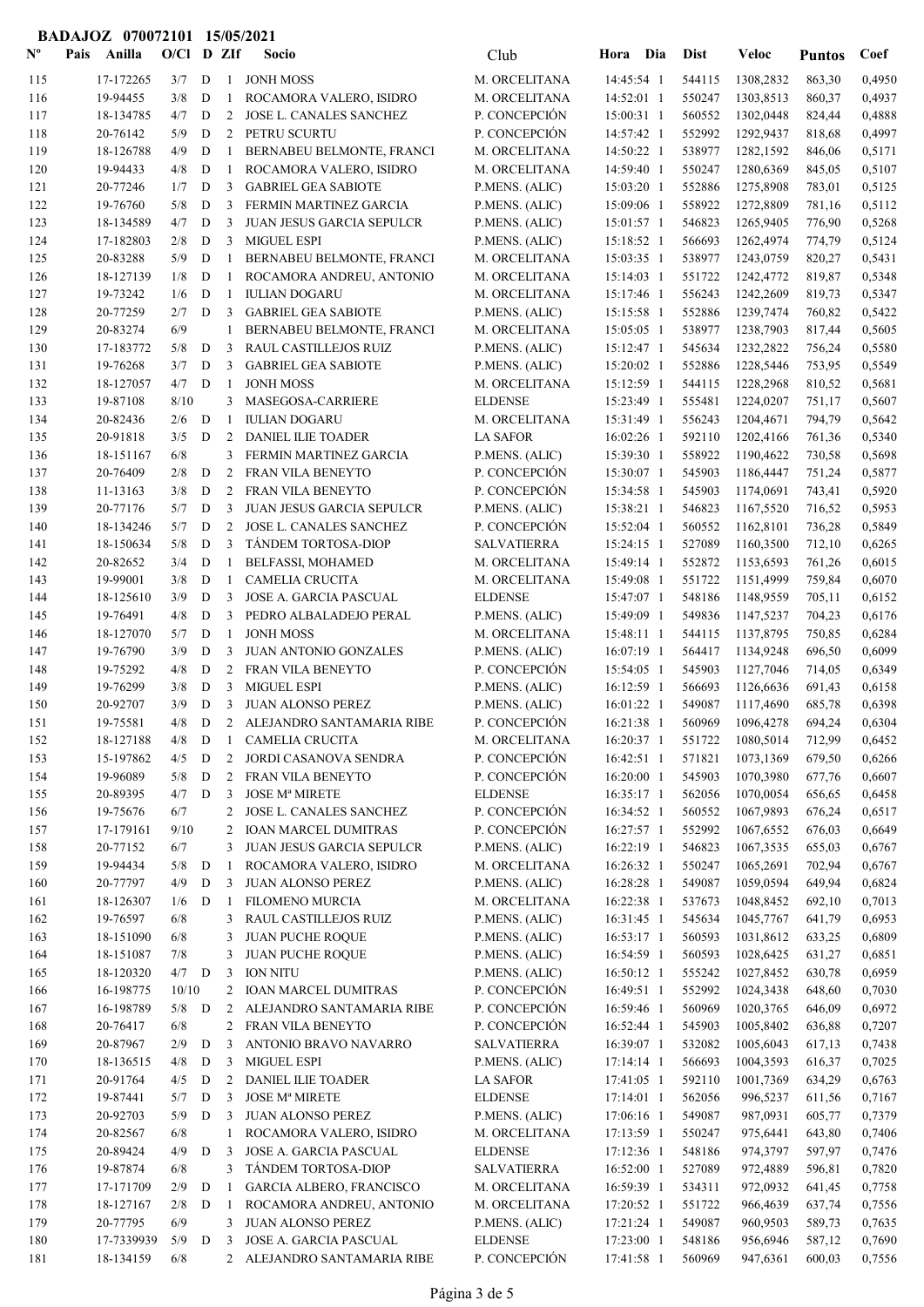|                           | BADAJOZ 070072101 15/05/2021 |                      |              |             |                |                                                |                                   |                          |                  |                             |                  |                  |
|---------------------------|------------------------------|----------------------|--------------|-------------|----------------|------------------------------------------------|-----------------------------------|--------------------------|------------------|-----------------------------|------------------|------------------|
| $\mathbf{N}^{\mathbf{o}}$ | Pais                         | Anilla               | $O/CI$ D ZIf |             |                | Socio                                          | Club                              | Hora Dia                 | <b>Dist</b>      | <b>Veloc</b>                | <b>Puntos</b>    | Coef             |
| 115                       |                              | 17-172265            | 3/7          | D           | $\mathbf{1}$   | <b>JONH MOSS</b>                               | M. ORCELITANA                     | 14:45:54 1               | 544115           | 1308,2832                   | 863,30           | 0,4950           |
| 116                       |                              | 19-94455             | 3/8          | D           | -1             | ROCAMORA VALERO, ISIDRO                        | M. ORCELITANA                     | 14:52:01 1               | 550247           | 1303,8513                   | 860,37           | 0,4937           |
| 117                       |                              | 18-134785            | 4/7          | D           | 2              | JOSE L. CANALES SANCHEZ                        | P. CONCEPCIÓN                     | 15:00:31 1               | 560552           | 1302,0448                   | 824,44           | 0,4888           |
| 118                       |                              | 20-76142             | 5/9          | D           | $\overline{2}$ | PETRU SCURTU                                   | P. CONCEPCIÓN                     | 14:57:42 1               | 552992           | 1292,9437                   | 818,68           | 0,4997           |
| 119                       |                              | 18-126788            | 4/9          | D           | 1              | BERNABEU BELMONTE, FRANCI                      | M. ORCELITANA                     | 14:50:22 1               | 538977           | 1282,1592                   | 846,06           | 0,5171           |
| 120                       |                              | 19-94433             | 4/8          | D           | 1              | ROCAMORA VALERO, ISIDRO                        | M. ORCELITANA                     | 14:59:40 1               | 550247           | 1280,6369                   | 845,05           | 0,5107           |
| 121                       |                              | 20-77246             | 1/7          | D           | 3              | <b>GABRIEL GEA SABIOTE</b>                     | P.MENS. (ALIC)                    | 15:03:20 1               | 552886           | 1275,8908                   | 783,01           | 0,5125           |
| 122                       |                              | 19-76760             | 5/8          | D           | 3              | FERMIN MARTINEZ GARCIA                         | P.MENS. (ALIC)                    | 15:09:06 1               | 558922           | 1272,8809                   | 781,16           | 0,5112           |
| 123                       |                              | 18-134589            | 4/7          | D           | 3              | JUAN JESUS GARCIA SEPULCR                      | P.MENS. (ALIC)                    | 15:01:57 1               | 546823           | 1265,9405                   | 776,90           | 0,5268           |
| 124                       |                              | 17-182803            | 2/8          | D           | 3              | <b>MIGUEL ESPI</b>                             | P.MENS. (ALIC)                    | 15:18:52 1               | 566693           | 1262,4974                   | 774,79           | 0,5124           |
| 125                       |                              | 20-83288             | 5/9          | D           | 1              | BERNABEU BELMONTE, FRANCI                      | M. ORCELITANA                     | 15:03:35 1               | 538977           | 1243,0759                   | 820,27           | 0,5431           |
| 126                       |                              | 18-127139            | 1/8          | D           | 1              | ROCAMORA ANDREU, ANTONIO                       | M. ORCELITANA                     | $15:14:03$ 1             | 551722           | 1242,4772                   | 819,87           | 0,5348           |
| 127                       |                              | 19-73242             | 1/6          | D           | 1              | <b>IULIAN DOGARU</b>                           | M. ORCELITANA                     | 15:17:46 1               | 556243           | 1242,2609                   | 819,73           | 0,5347           |
| 128                       |                              | 20-77259             | 2/7          | D           | 3              | <b>GABRIEL GEA SABIOTE</b>                     | P.MENS. (ALIC)                    | 15:15:58 1               | 552886           | 1239,7474                   | 760,82           | 0,5422           |
| 129                       |                              | 20-83274             | 6/9          |             | 1              | BERNABEU BELMONTE, FRANCI                      | M. ORCELITANA                     | 15:05:05 1               | 538977           | 1238,7903                   | 817,44           | 0,5605           |
| 130                       |                              | 17-183772            | 5/8          | D           | 3              | RAUL CASTILLEJOS RUIZ                          | P.MENS. (ALIC)                    | 15:12:47 1               | 545634           | 1232,2822                   | 756,24           | 0,5580           |
| 131                       |                              | 19-76268             | 3/7          | D           | 3              | <b>GABRIEL GEA SABIOTE</b>                     | P.MENS. (ALIC)                    | 15:20:02 1               | 552886           | 1228,5446                   | 753,95           | 0,5549           |
| 132                       |                              | 18-127057            | 4/7          | $\mathbf D$ | 1              | <b>JONH MOSS</b>                               | M. ORCELITANA                     | 15:12:59 1               | 544115           | 1228,2968                   | 810,52           | 0,5681           |
| 133                       |                              | 19-87108             | 8/10         |             | 3              | MASEGOSA-CARRIERE                              | <b>ELDENSE</b>                    | 15:23:49 1               | 555481           | 1224,0207                   | 751,17           | 0,5607           |
| 134                       |                              | 20-82436             | 2/6          | D           | 1              | <b>IULIAN DOGARU</b>                           | M. ORCELITANA                     | 15:31:49 1               | 556243           | 1204,4671                   | 794,79           | 0,5642           |
| 135                       |                              | 20-91818             | 3/5          | D           | 2              | DANIEL ILIE TOADER                             | <b>LA SAFOR</b>                   | 16:02:26 1               | 592110           | 1202,4166                   | 761,36           | 0,5340           |
| 136                       |                              | 18-151167            | 6/8          |             | 3              | FERMIN MARTINEZ GARCIA                         | P.MENS. (ALIC)                    | 15:39:30 1               | 558922           | 1190,4622                   | 730,58           | 0,5698           |
| 137                       |                              | 20-76409             | 2/8          | D           | $\overline{c}$ | FRAN VILA BENEYTO                              | P. CONCEPCIÓN                     | 15:30:07 1               | 545903           | 1186,4447                   | 751,24           | 0,5877           |
| 138                       |                              | 11-13163             | 3/8          | D           | 2<br>3         | FRAN VILA BENEYTO                              | P. CONCEPCIÓN                     | 15:34:58 1               | 545903           | 1174,0691                   | 743,41           | 0,5920           |
| 139<br>140                |                              | 20-77176             | 5/7<br>5/7   | D           | $\overline{c}$ | <b>JUAN JESUS GARCIA SEPULCR</b>               | P.MENS. (ALIC)<br>P. CONCEPCIÓN   | 15:38:21 1               | 546823<br>560552 | 1167,5520                   | 716,52           | 0,5953<br>0,5849 |
|                           |                              | 18-134246            | 5/8          | D<br>D      | 3              | JOSE L. CANALES SANCHEZ<br>TÁNDEM TORTOSA-DIOP | <b>SALVATIERRA</b>                | 15:52:04 1               | 527089           | 1162,8101                   | 736,28           | 0,6265           |
| 141                       |                              | 18-150634            | 3/4          | D           | 1              | BELFASSI, MOHAMED                              |                                   | $15:24:15$ 1             | 552872           | 1160,3500                   | 712,10           | 0,6015           |
| 142<br>143                |                              | 20-82652<br>19-99001 | 3/8          | D           | 1              | CAMELIA CRUCITA                                | M. ORCELITANA<br>M. ORCELITANA    | 15:49:14 1<br>15:49:08 1 | 551722           | 1153,6593<br>1151,4999      | 761,26<br>759,84 | 0,6070           |
| 144                       |                              | 18-125610            | 3/9          | D           | 3              | <b>JOSE A. GARCIA PASCUAL</b>                  | <b>ELDENSE</b>                    | 15:47:07 1               | 548186           | 1148,9559                   | 705,11           | 0,6152           |
| 145                       |                              | 19-76491             | 4/8          | ${\bf D}$   | 3              | PEDRO ALBALADEJO PERAL                         | P.MENS. (ALIC)                    | 15:49:09 1               | 549836           | 1147,5237                   | 704,23           | 0,6176           |
| 146                       |                              | 18-127070            | 5/7          | D           | 1              | <b>JONH MOSS</b>                               | M. ORCELITANA                     | 15:48:11 1               | 544115           | 1137,8795                   | 750,85           | 0,6284           |
| 147                       |                              | 19-76790             | 3/9          | D           | 3              | JUAN ANTONIO GONZALES                          | P.MENS. (ALIC)                    | 16:07:19 1               | 564417           | 1134,9248                   | 696,50           | 0,6099           |
| 148                       |                              | 19-75292             | 4/8          | D           | 2              | FRAN VILA BENEYTO                              | P. CONCEPCIÓN                     | 15:54:05 1               | 545903           | 1127,7046                   | 714,05           | 0,6349           |
| 149                       |                              | 19-76299             | 3/8          | D           | 3              | <b>MIGUEL ESPI</b>                             | P.MENS. (ALIC)                    | 16:12:59 1               | 566693           | 1126,6636                   | 691,43           | 0,6158           |
| 150                       |                              | 20-92707             | 3/9          | D           | $\mathfrak{Z}$ | <b>JUAN ALONSO PEREZ</b>                       | P.MENS. (ALIC)                    | 16:01:22 1               | 549087           | 1117,4690                   | 685,78           | 0,6398           |
| 151                       |                              | 19-75581             | 4/8          | D           | $\overline{2}$ | ALEJANDRO SANTAMARIA RIBE                      | P. CONCEPCIÓN                     |                          |                  | 16:21:38 1 560969 1096,4278 | 694,24           | 0,6304           |
| 152                       |                              | 18-127188            | 4/8          | D           | 1              | CAMELIA CRUCITA                                | M. ORCELITANA                     | 16:20:37 1               | 551722           | 1080,5014                   | 712,99           | 0,6452           |
| 153                       |                              | 15-197862            | 4/5          | $\mathbf D$ | $\overline{2}$ | JORDI CASANOVA SENDRA                          | P. CONCEPCIÓN                     | 16:42:51 1               | 571821           | 1073,1369                   | 679,50           | 0,6266           |
| 154                       |                              | 19-96089             | 5/8          | D           | 2              | FRAN VILA BENEYTO                              | P. CONCEPCIÓN                     | 16:20:00 1               | 545903           | 1070,3980                   | 677,76           | 0,6607           |
| 155                       |                              | 20-89395             | 4/7          | D           | 3              | <b>JOSE Mª MIRETE</b>                          | <b>ELDENSE</b>                    | $16:35:17$ 1             | 562056           | 1070,0054                   | 656,65           | 0,6458           |
| 156                       |                              | 19-75676             | 6/7          |             | 2              | JOSE L. CANALES SANCHEZ                        | P. CONCEPCIÓN                     | 16:34:52 1               | 560552           | 1067,9893                   | 676,24           | 0,6517           |
| 157                       |                              | 17-179161            | 9/10         |             | 2              | <b>IOAN MARCEL DUMITRAS</b>                    | P. CONCEPCIÓN                     | 16:27:57 1               | 552992           | 1067,6552                   | 676,03           | 0,6649           |
| 158                       |                              | 20-77152             | 6/7          |             | 3              | <b>JUAN JESUS GARCIA SEPULCR</b>               | P.MENS. (ALIC)                    | 16:22:19 1               | 546823           | 1067,3535                   | 655,03           | 0,6767           |
| 159                       |                              | 19-94434             | 5/8          | D           | 1              | ROCAMORA VALERO, ISIDRO                        | M. ORCELITANA                     | 16:26:32 1               | 550247           | 1065,2691                   | 702,94           | 0,6767           |
| 160                       |                              | 20-77797             | 4/9          | D           | 3              | <b>JUAN ALONSO PEREZ</b>                       | P.MENS. (ALIC)                    | 16:28:28 1               | 549087           | 1059,0594                   | 649,94           | 0,6824           |
| 161                       |                              | 18-126307            | 1/6          | D           | 1              | <b>FILOMENO MURCIA</b>                         | M. ORCELITANA                     | 16:22:38 1               | 537673           | 1048,8452                   | 692,10           | 0,7013           |
| 162                       |                              | 19-76597             | 6/8          |             | 3              | RAUL CASTILLEJOS RUIZ                          | P.MENS. (ALIC)                    | 16:31:45 1               | 545634           | 1045,7767                   | 641,79           | 0,6953           |
| 163                       |                              | 18-151090            | 6/8          |             | 3              | <b>JUAN PUCHE ROQUE</b>                        | P.MENS. (ALIC)                    | 16:53:17 1               | 560593           | 1031,8612                   | 633,25           | 0,6809           |
| 164                       |                              | 18-151087            | 7/8          |             | 3              | JUAN PUCHE ROQUE                               | P.MENS. (ALIC)                    | 16:54:59 1               | 560593           | 1028,6425                   | 631,27           | 0,6851           |
| 165                       |                              | 18-120320            | $4/7$ D      |             | 3              | <b>ION NITU</b>                                | P.MENS. (ALIC)                    | 16:50:12 1               | 555242           | 1027,8452                   | 630,78           | 0,6959           |
| 166                       |                              | 16-198775            | 10/10        |             | 2              | <b>IOAN MARCEL DUMITRAS</b>                    | P. CONCEPCIÓN                     | 16:49:51 1               | 552992           | 1024,3438                   | 648,60           | 0,7030           |
| 167                       |                              | 16-198789            | 5/8          | D           | 2              | ALEJANDRO SANTAMARIA RIBE                      | P. CONCEPCIÓN                     | 16:59:46 1               | 560969           | 1020,3765                   | 646,09           | 0,6972           |
| 168                       |                              | 20-76417             | 6/8          |             | 2              | FRAN VILA BENEYTO                              | P. CONCEPCIÓN                     | 16:52:44 1               | 545903           | 1005,8402                   | 636,88           | 0,7207           |
| 169                       |                              | 20-87967             | 2/9          | D           | 3              | ANTONIO BRAVO NAVARRO                          | <b>SALVATIERRA</b>                | 16:39:07 1               | 532082           | 1005,6043                   | 617,13           | 0,7438           |
| 170                       |                              | 18-136515            | 4/8          | D           | 3              | MIGUEL ESPI                                    | P.MENS. (ALIC)                    | 17:14:14 1               | 566693           | 1004,3593                   | 616,37           | 0,7025           |
| 171                       |                              | 20-91764             | 4/5          | D           | 2<br>3         | DANIEL ILIE TOADER<br><b>JOSE Mª MIRETE</b>    | <b>LA SAFOR</b><br><b>ELDENSE</b> | 17:41:05 1               | 592110<br>562056 | 1001,7369<br>996,5237       | 634,29           | 0,6763<br>0,7167 |
| 172                       |                              | 19-87441             | 5/7          | D           |                |                                                |                                   | $17:14:01$ 1             |                  |                             | 611,56           |                  |
| 173<br>174                |                              | 20-92703<br>20-82567 | 5/9<br>6/8   | D           | 3<br>1         | JUAN ALONSO PEREZ<br>ROCAMORA VALERO, ISIDRO   | P.MENS. (ALIC)<br>M. ORCELITANA   | 17:06:16 1<br>17:13:59 1 | 549087<br>550247 | 987,0931<br>975,6441        | 605,77<br>643,80 | 0,7379<br>0,7406 |
| 175                       |                              | 20-89424             | 4/9          | D           | 3              | JOSE A. GARCIA PASCUAL                         | <b>ELDENSE</b>                    | 17:12:36 1               | 548186           | 974,3797                    | 597,97           | 0,7476           |
| 176                       |                              | 19-87874             | 6/8          |             | 3              | TÁNDEM TORTOSA-DIOP                            | SALVATIERRA                       | 16:52:00 1               | 527089           | 972,4889                    | 596,81           | 0,7820           |
| 177                       |                              | 17-171709            | 2/9          | D           | 1              | <b>GARCIA ALBERO, FRANCISCO</b>                | M. ORCELITANA                     | 16:59:39 1               | 534311           | 972,0932                    | 641,45           | 0,7758           |
| 178                       |                              | 18-127167            | 2/8          | ${\bf D}$   | 1              | ROCAMORA ANDREU, ANTONIO                       | M. ORCELITANA                     | 17:20:52 1               | 551722           | 966,4639                    | 637,74           | 0,7556           |
| 179                       |                              | 20-77795             | 6/9          |             | 3              | <b>JUAN ALONSO PEREZ</b>                       | P.MENS. (ALIC)                    | 17:21:24 1               | 549087           | 960,9503                    | 589,73           | 0,7635           |
| 180                       |                              | 17-7339939           | 5/9          | D           | 3              | JOSE A. GARCIA PASCUAL                         | <b>ELDENSE</b>                    | 17:23:00 1               | 548186           | 956,6946                    | 587,12           | 0,7690           |
| 181                       |                              | 18-134159            | 6/8          |             |                | 2 ALEJANDRO SANTAMARIA RIBE                    | P. CONCEPCIÓN                     | 17:41:58 1               | 560969           | 947,6361                    | 600,03           | 0,7556           |
|                           |                              |                      |              |             |                |                                                |                                   |                          |                  |                             |                  |                  |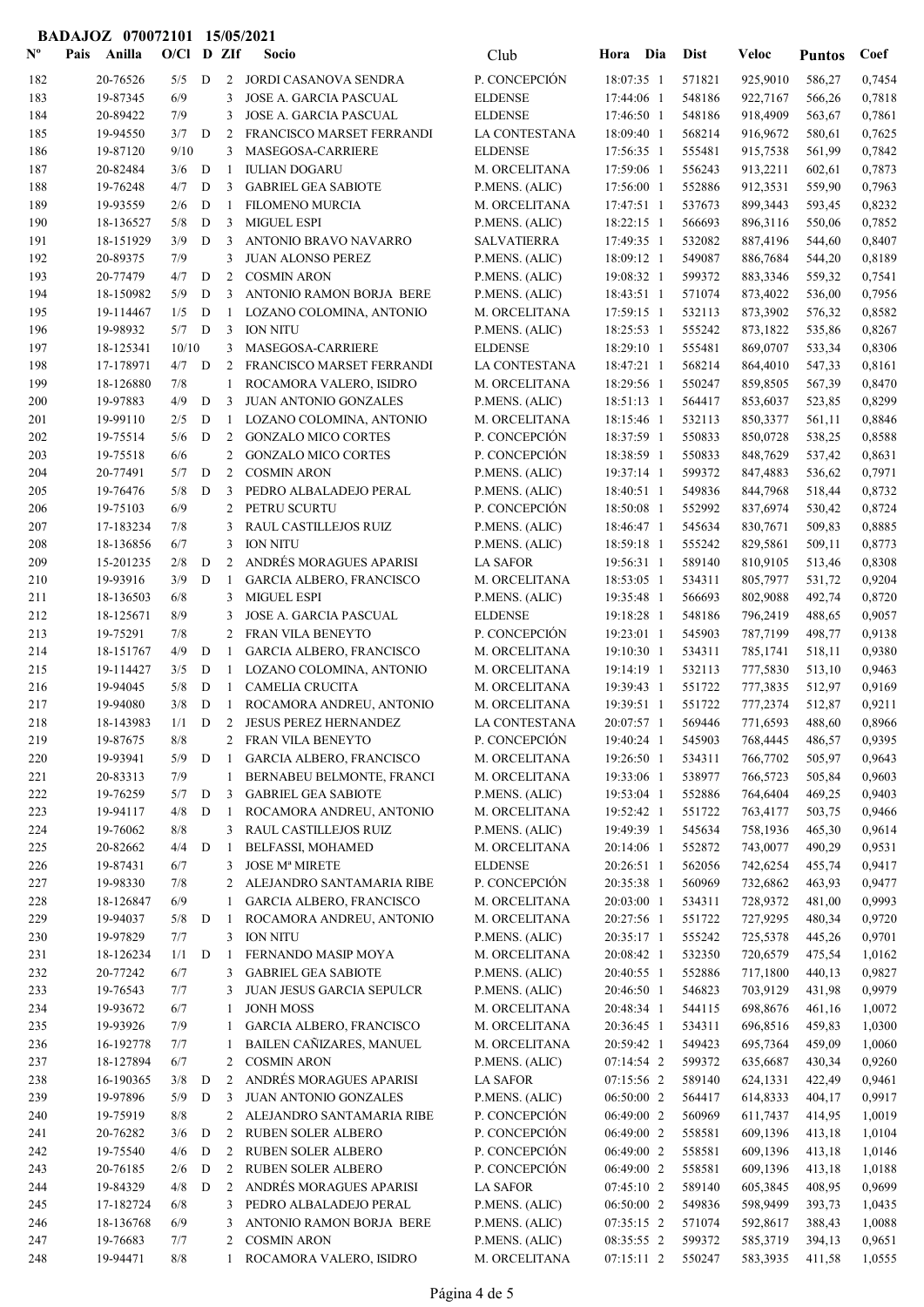|                           | BADAJOZ 070072101 15/05/2021 |                      |            |             |              |                                                              |                                 |                          |                   |                      |                  |                  |
|---------------------------|------------------------------|----------------------|------------|-------------|--------------|--------------------------------------------------------------|---------------------------------|--------------------------|-------------------|----------------------|------------------|------------------|
| $\mathbf{N}^{\mathbf{o}}$ | Pais                         | Anilla               | O/Cl D ZIf |             |              | <b>Socio</b>                                                 | Club                            | Hora Dia                 | <b>Dist</b>       | <b>Veloc</b>         | <b>Puntos</b>    | Coef             |
| 182                       |                              | 20-76526             | 5/5        | D           | 2            | JORDI CASANOVA SENDRA                                        | P. CONCEPCIÓN                   | 18:07:35 1               | 571821            | 925,9010             | 586,27           | 0,7454           |
| 183                       |                              | 19-87345             | 6/9        |             | 3            | <b>JOSE A. GARCIA PASCUAL</b>                                | <b>ELDENSE</b>                  | 17:44:06 1               | 548186            | 922,7167             | 566,26           | 0,7818           |
| 184                       |                              | 20-89422             | 7/9        |             | 3            | <b>JOSE A. GARCIA PASCUAL</b>                                | <b>ELDENSE</b>                  | 17:46:50 1               | 548186            | 918,4909             | 563,67           | 0,7861           |
| 185                       |                              | 19-94550             | 3/7        | D           | 2            | FRANCISCO MARSET FERRANDI                                    | LA CONTESTANA                   | 18:09:40 1               | 568214            | 916,9672             | 580,61           | 0,7625           |
| 186                       |                              | 19-87120             | 9/10       |             | 3            | MASEGOSA-CARRIERE                                            | <b>ELDENSE</b>                  | 17:56:35 1               | 555481            | 915,7538             | 561,99           | 0,7842           |
| 187                       |                              | 20-82484             | $3/6$ D    |             | -1           | <b>IULIAN DOGARU</b>                                         | M. ORCELITANA                   | 17:59:06 1               | 556243            | 913,2211             | 602,61           | 0,7873           |
| 188                       |                              | 19-76248             | 4/7        | D           | 3            | <b>GABRIEL GEA SABIOTE</b>                                   | P.MENS. (ALIC)                  | 17:56:00 1               | 552886            | 912,3531             | 559,90           | 0,7963           |
| 189                       |                              | 19-93559             | 2/6        | D           | $\mathbf{1}$ | <b>FILOMENO MURCIA</b>                                       | M. ORCELITANA                   | 17:47:51 1               | 537673            | 899,3443             | 593,45           | 0,8232           |
| 190                       |                              | 18-136527            | 5/8        | D           | 3            | <b>MIGUEL ESPI</b>                                           | P.MENS. (ALIC)                  | 18:22:15 1               | 566693            | 896,3116             | 550,06           | 0,7852           |
| 191                       |                              | 18-151929            | 3/9        | D           | 3            | ANTONIO BRAVO NAVARRO                                        | <b>SALVATIERRA</b>              | 17:49:35 1               | 532082            | 887,4196             | 544,60           | 0,8407           |
| 192                       |                              | 20-89375             | 7/9        |             | 3            | <b>JUAN ALONSO PEREZ</b>                                     | P.MENS. (ALIC)                  | 18:09:12 1               | 549087            | 886,7684             | 544,20           | 0,8189           |
| 193                       |                              | 20-77479             | 4/7        | D           | 2            | <b>COSMIN ARON</b>                                           | P.MENS. (ALIC)                  | 19:08:32 1               | 599372            | 883,3346             | 559,32           | 0,7541           |
| 194                       |                              | 18-150982            | 5/9        | D           | 3            | ANTONIO RAMON BORJA BERE                                     | P.MENS. (ALIC)                  | 18:43:51 1               | 571074            | 873,4022             | 536,00           | 0,7956           |
| 195                       |                              | 19-114467            | 1/5        | D           | -1           | LOZANO COLOMINA, ANTONIO                                     | M. ORCELITANA                   | 17:59:15 1               | 532113            | 873,3902             | 576,32           | 0,8582           |
| 196                       |                              | 19-98932             | 5/7        | D           | 3            | <b>ION NITU</b>                                              | P.MENS. (ALIC)                  | 18:25:53 1               | 555242            | 873,1822             | 535,86           | 0,8267           |
| 197                       |                              | 18-125341            | 10/10      |             | 3            | MASEGOSA-CARRIERE                                            | <b>ELDENSE</b>                  | 18:29:10 1               | 555481            | 869,0707             | 533,34           | 0,8306           |
| 198                       |                              | 17-178971            | 4/7        | D           | 2            | FRANCISCO MARSET FERRANDI                                    | LA CONTESTANA                   | 18:47:21 1               | 568214            | 864,4010             | 547,33           | 0,8161           |
| 199                       |                              | 18-126880            | 7/8        |             | 1            | ROCAMORA VALERO, ISIDRO                                      | M. ORCELITANA                   | 18:29:56 1               | 550247            | 859,8505             | 567,39           | 0,8470           |
| 200                       |                              | 19-97883             | 4/9        | D           | 3            | <b>JUAN ANTONIO GONZALES</b>                                 | P.MENS. (ALIC)                  | 18:51:13 1               | 564417            | 853,6037             | 523,85           | 0,8299           |
| 201                       |                              | 19-99110<br>19-75514 | 2/5<br>5/6 | D<br>D      | 1<br>2       | LOZANO COLOMINA, ANTONIO                                     | M. ORCELITANA<br>P. CONCEPCIÓN  | 18:15:46 1<br>18:37:59 1 | 532113<br>550833  | 850,3377<br>850,0728 | 561,11           | 0,8846<br>0,8588 |
| 202<br>203                |                              | 19-75518             | 6/6        |             | 2            | <b>GONZALO MICO CORTES</b><br><b>GONZALO MICO CORTES</b>     | P. CONCEPCIÓN                   | 18:38:59 1               | 550833            | 848,7629             | 538,25<br>537,42 | 0,8631           |
| 204                       |                              | 20-77491             | 5/7        | D           | 2            | <b>COSMIN ARON</b>                                           | P.MENS. (ALIC)                  | 19:37:14 1               | 599372            | 847,4883             | 536,62           | 0,7971           |
| 205                       |                              | 19-76476             | 5/8        | D           | 3            | PEDRO ALBALADEJO PERAL                                       | P.MENS. (ALIC)                  | 18:40:51 1               | 549836            | 844,7968             | 518,44           | 0,8732           |
| 206                       |                              | 19-75103             | 6/9        |             | 2            | PETRU SCURTU                                                 | P. CONCEPCIÓN                   | 18:50:08 1               | 552992            | 837,6974             | 530,42           | 0,8724           |
| 207                       |                              | 17-183234            | 7/8        |             | 3            | RAUL CASTILLEJOS RUIZ                                        | P.MENS. (ALIC)                  | 18:46:47 1               | 545634            | 830,7671             | 509,83           | 0,8885           |
| 208                       |                              | 18-136856            | 6/7        |             | 3            | <b>ION NITU</b>                                              | P.MENS. (ALIC)                  | 18:59:18 1               | 555242            | 829,5861             | 509,11           | 0,8773           |
| 209                       |                              | 15-201235            | 2/8        | D           | 2            | ANDRÉS MORAGUES APARISI                                      | <b>LA SAFOR</b>                 | 19:56:31 1               | 589140            | 810,9105             | 513,46           | 0,8308           |
| 210                       |                              | 19-93916             | 3/9        | D           | -1           | GARCIA ALBERO, FRANCISCO                                     | M. ORCELITANA                   | 18:53:05 1               | 534311            | 805,7977             | 531,72           | 0,9204           |
| 211                       |                              | 18-136503            | 6/8        |             | 3            | <b>MIGUEL ESPI</b>                                           | P.MENS. (ALIC)                  | 19:35:48 1               | 566693            | 802,9088             | 492,74           | 0,8720           |
| 212                       |                              | 18-125671            | 8/9        |             | 3            | <b>JOSE A. GARCIA PASCUAL</b>                                | <b>ELDENSE</b>                  | 19:18:28 1               | 548186            | 796,2419             | 488,65           | 0,9057           |
| 213                       |                              | 19-75291             | 7/8        |             | 2            | FRAN VILA BENEYTO                                            | P. CONCEPCIÓN                   | 19:23:01 1               | 545903            | 787,7199             | 498,77           | 0,9138           |
| 214                       |                              | 18-151767            | 4/9        | D           | -1           | GARCIA ALBERO, FRANCISCO                                     | M. ORCELITANA                   | 19:10:30 1               | 534311            | 785,1741             | 518,11           | 0,9380           |
| 215                       |                              | 19-114427            | 3/5        | D           | 1            | LOZANO COLOMINA, ANTONIO                                     | M. ORCELITANA                   | 19:14:19 1               | 532113            | 777,5830             | 513,10           | 0,9463           |
| 216                       |                              | 19-94045             | 5/8        | D           | 1            | <b>CAMELIA CRUCITA</b>                                       | M. ORCELITANA                   | 19:39:43 1               | 551722            | 777,3835             | 512,97           | 0,9169           |
| 217                       |                              | 19-94080             | 3/8        | D           |              | 1 ROCAMORA ANDREU, ANTONIO                                   | M. ORCELITANA                   | 19:39:51 1               | 551722            | 777,2374             | 512,87           | 0,9211           |
| 218                       |                              | 18-143983            |            |             |              | 1/1 D 2 JESUS PEREZ HERNANDEZ                                | LA CONTESTANA                   |                          | 20:07:57 1 569446 | 771,6593 488,60      |                  | 0,8966           |
| 219                       |                              | 19-87675             | 8/8        |             | 2            | FRAN VILA BENEYTO                                            | P. CONCEPCIÓN                   | 19:40:24 1               | 545903            | 768,4445             | 486,57           | 0,9395           |
| 220                       |                              | 19-93941             | 5/9        | $\mathbf D$ | $\mathbf{1}$ | <b>GARCIA ALBERO, FRANCISCO</b><br>BERNABEU BELMONTE, FRANCI | M. ORCELITANA                   | 19:26:50 1               | 534311            | 766,7702             | 505,97           | 0,9643           |
| 221<br>222                |                              | 20-83313<br>19-76259 | 7/9<br>5/7 | ${\bf D}$   | 1<br>3       | <b>GABRIEL GEA SABIOTE</b>                                   | M. ORCELITANA<br>P.MENS. (ALIC) | 19:33:06 1<br>19:53:04 1 | 538977<br>552886  | 766,5723<br>764,6404 | 505,84<br>469,25 | 0,9603<br>0,9403 |
| 223                       |                              | 19-94117             | 4/8        | $\mathbf D$ | 1            | ROCAMORA ANDREU, ANTONIO                                     | M. ORCELITANA                   | 19:52:42 1               | 551722            | 763,4177             | 503,75           | 0,9466           |
| 224                       |                              | 19-76062             | $8/8$      |             | 3            | RAUL CASTILLEJOS RUIZ                                        | P.MENS. (ALIC)                  | 19:49:39 1               | 545634            | 758,1936             | 465,30           | 0,9614           |
| 225                       |                              | 20-82662             | 4/4        | D           | 1            | BELFASSI, MOHAMED                                            | M. ORCELITANA                   | 20:14:06 1               | 552872            | 743,0077             | 490,29           | 0,9531           |
| 226                       |                              | 19-87431             | 6/7        |             | 3            | <b>JOSE Mª MIRETE</b>                                        | <b>ELDENSE</b>                  | 20:26:51 1               | 562056            | 742,6254             | 455,74           | 0,9417           |
| 227                       |                              | 19-98330             | 7/8        |             | 2            | ALEJANDRO SANTAMARIA RIBE                                    | P. CONCEPCIÓN                   | 20:35:38 1               | 560969            | 732,6862             | 463,93           | 0,9477           |
| 228                       |                              | 18-126847            | 6/9        |             | 1            | GARCIA ALBERO, FRANCISCO                                     | M. ORCELITANA                   | 20:03:00 1               | 534311            | 728,9372             | 481,00           | 0,9993           |
| 229                       |                              | 19-94037             | 5/8        | D           | -1           | ROCAMORA ANDREU, ANTONIO                                     | M. ORCELITANA                   | 20:27:56 1               | 551722            | 727,9295             | 480,34           | 0,9720           |
| 230                       |                              | 19-97829             | 7/7        |             | 3            | <b>ION NITU</b>                                              | P.MENS. (ALIC)                  | 20:35:17 1               | 555242            | 725,5378             | 445,26           | 0,9701           |
| 231                       |                              | 18-126234            | 1/1        | D           | -1           | FERNANDO MASIP MOYA                                          | M. ORCELITANA                   | 20:08:42 1               | 532350            | 720,6579             | 475,54           | 1,0162           |
| 232                       |                              | 20-77242             | 6/7        |             | 3            | <b>GABRIEL GEA SABIOTE</b>                                   | P.MENS. (ALIC)                  | 20:40:55 1               | 552886            | 717,1800             | 440,13           | 0,9827           |
| 233                       |                              | 19-76543             | 7/7        |             | 3            | JUAN JESUS GARCIA SEPULCR                                    | P.MENS. (ALIC)                  | 20:46:50 1               | 546823            | 703,9129             | 431,98           | 0,9979           |
| 234                       |                              | 19-93672             | 6/7        |             | 1            | <b>JONH MOSS</b>                                             | M. ORCELITANA                   | 20:48:34 1               | 544115            | 698,8676             | 461,16           | 1,0072           |
| 235                       |                              | 19-93926             | 7/9        |             | 1            | GARCIA ALBERO, FRANCISCO                                     | M. ORCELITANA                   | 20:36:45 1               | 534311            | 696,8516             | 459,83           | 1,0300           |
| 236                       |                              | 16-192778            | 7/7        |             | 1            | BAILEN CAÑIZARES, MANUEL                                     | M. ORCELITANA                   | 20:59:42 1               | 549423            | 695,7364             | 459,09           | 1,0060           |
| 237                       |                              | 18-127894            | 6/7        |             | 2            | <b>COSMIN ARON</b>                                           | P.MENS. (ALIC)                  | $07:14:54$ 2             | 599372            | 635,6687             | 430,34           | 0,9260           |
| 238                       |                              | 16-190365            | 3/8        | D           | 2            | ANDRÉS MORAGUES APARISI                                      | <b>LA SAFOR</b>                 | 07:15:56 2               | 589140            | 624,1331             | 422,49           | 0,9461           |
| 239                       |                              | 19-97896             | 5/9        | D           | 3            | JUAN ANTONIO GONZALES                                        | P.MENS. (ALIC)                  | 06:50:00 2               | 564417            | 614,8333             | 404,17           | 0,9917           |
| 240                       |                              | 19-75919             | $8/8$      |             | 2<br>2       | ALEJANDRO SANTAMARIA RIBE                                    | P. CONCEPCIÓN<br>P. CONCEPCIÓN  | 06:49:00 2               | 560969<br>558581  | 611,7437             | 414,95           | 1,0019           |
| 241<br>242                |                              | 20-76282<br>19-75540 | 3/6<br>4/6 | D<br>D      | 2            | RUBEN SOLER ALBERO<br>RUBEN SOLER ALBERO                     | P. CONCEPCIÓN                   | 06:49:00 2<br>06:49:00 2 | 558581            | 609,1396<br>609,1396 | 413,18<br>413,18 | 1,0104<br>1,0146 |
| 243                       |                              | 20-76185             | 2/6        | $\mathbf D$ | 2            | RUBEN SOLER ALBERO                                           | P. CONCEPCIÓN                   | 06:49:00 2               | 558581            | 609,1396             | 413,18           | 1,0188           |
| 244                       |                              | 19-84329             | 4/8        | $\mathbf D$ | 2            | ANDRÉS MORAGUES APARISI                                      | <b>LA SAFOR</b>                 | $07:45:10$ 2             | 589140            | 605,3845             | 408,95           | 0,9699           |
| 245                       |                              | 17-182724            | 6/8        |             | 3            | PEDRO ALBALADEJO PERAL                                       | P.MENS. (ALIC)                  | 06:50:00 2               | 549836            | 598,9499             | 393,73           | 1,0435           |
| 246                       |                              | 18-136768            | 6/9        |             | 3            | ANTONIO RAMON BORJA BERE                                     | P.MENS. (ALIC)                  | 07:35:15 2               | 571074            | 592,8617             | 388,43           | 1,0088           |
| 247                       |                              | 19-76683             | 7/7        |             | 2            | <b>COSMIN ARON</b>                                           | P.MENS. (ALIC)                  | 08:35:55 2               | 599372            | 585,3719             | 394,13           | 0,9651           |
| 248                       |                              | 19-94471             | $8/8$      |             |              | ROCAMORA VALERO, ISIDRO                                      | M. ORCELITANA                   | 07:15:11 2               | 550247            | 583,3935             | 411,58           | 1,0555           |